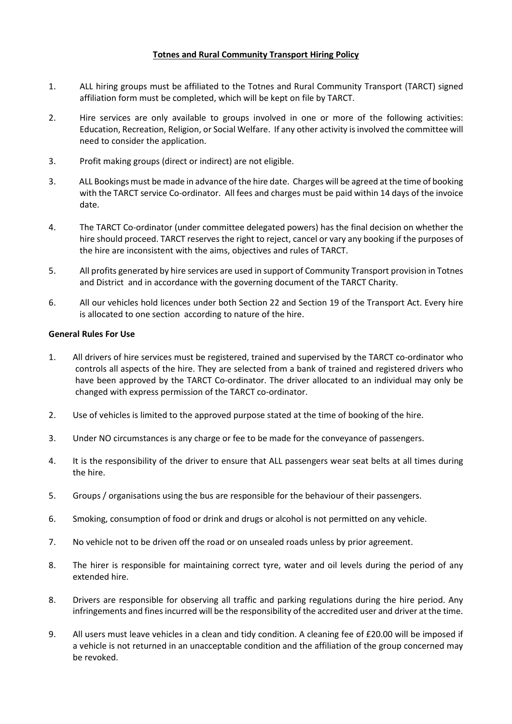# **Totnes and Rural Community Transport Hiring Policy**

- 1. ALL hiring groups must be affiliated to the Totnes and Rural Community Transport (TARCT) signed affiliation form must be completed, which will be kept on file by TARCT.
- 2. Hire services are only available to groups involved in one or more of the following activities: Education, Recreation, Religion, or Social Welfare. If any other activity isinvolved the committee will need to consider the application.
- 3. Profit making groups (direct or indirect) are not eligible.
- 3. ALL Bookings must be made in advance of the hire date. Charges will be agreed at the time of booking with the TARCT service Co-ordinator. All fees and charges must be paid within 14 days of the invoice date.
- 4. The TARCT Co-ordinator (under committee delegated powers) has the final decision on whether the hire should proceed. TARCT reserves the right to reject, cancel or vary any booking if the purposes of the hire are inconsistent with the aims, objectives and rules of TARCT.
- 5. All profits generated by hire services are used in support of Community Transport provision in Totnes and District and in accordance with the governing document of the TARCT Charity.
- 6. All our vehicles hold licences under both Section 22 and Section 19 of the Transport Act. Every hire is allocated to one section according to nature of the hire.

### **General Rules For Use**

- 1. All drivers of hire services must be registered, trained and supervised by the TARCT co-ordinator who controls all aspects of the hire. They are selected from a bank of trained and registered drivers who have been approved by the TARCT Co-ordinator. The driver allocated to an individual may only be changed with express permission of the TARCT co-ordinator.
- 2. Use of vehicles is limited to the approved purpose stated at the time of booking of the hire.
- 3. Under NO circumstances is any charge or fee to be made for the conveyance of passengers.
- 4. It is the responsibility of the driver to ensure that ALL passengers wear seat belts at all times during the hire.
- 5. Groups / organisations using the bus are responsible for the behaviour of their passengers.
- 6. Smoking, consumption of food or drink and drugs or alcohol is not permitted on any vehicle.
- 7. No vehicle not to be driven off the road or on unsealed roads unless by prior agreement.
- 8. The hirer is responsible for maintaining correct tyre, water and oil levels during the period of any extended hire.
- 8. Drivers are responsible for observing all traffic and parking regulations during the hire period. Any infringements and fines incurred will be the responsibility of the accredited user and driver at the time.
- 9. All users must leave vehicles in a clean and tidy condition. A cleaning fee of £20.00 will be imposed if a vehicle is not returned in an unacceptable condition and the affiliation of the group concerned may be revoked.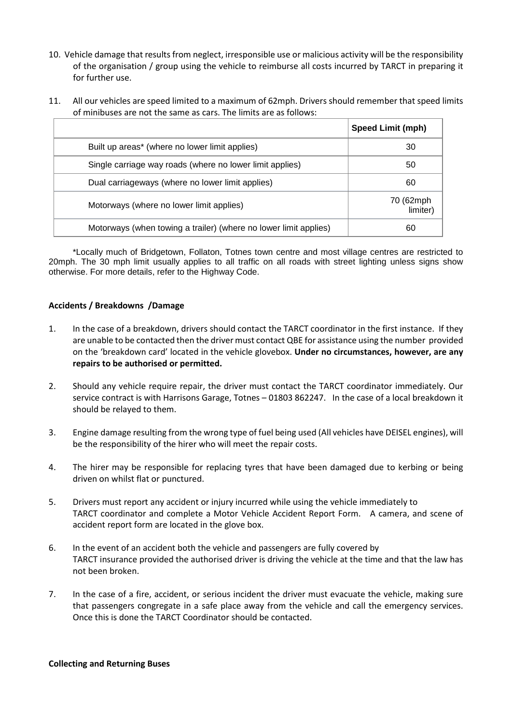- 10. Vehicle damage that results from neglect, irresponsible use or malicious activity will be the responsibility of the organisation / group using the vehicle to reimburse all costs incurred by TARCT in preparing it for further use.
- 11. All our vehicles are speed limited to a maximum of 62mph. Drivers should remember that speed limits of minibuses are not the same as cars. The limits are as follows:

|                                                                  | <b>Speed Limit (mph)</b> |
|------------------------------------------------------------------|--------------------------|
| Built up areas* (where no lower limit applies)                   | 30                       |
| Single carriage way roads (where no lower limit applies)         | 50                       |
| Dual carriageways (where no lower limit applies)                 | 60                       |
| Motorways (where no lower limit applies)                         | 70 (62mph<br>limiter)    |
| Motorways (when towing a trailer) (where no lower limit applies) | 60                       |

\*Locally much of Bridgetown, Follaton, Totnes town centre and most village centres are restricted to 20mph. The 30 mph limit usually applies to all traffic on all roads with street lighting unless signs show otherwise. For more details, refer to the Highway Code.

#### **Accidents / Breakdowns /Damage**

- 1. In the case of a breakdown, drivers should contact the TARCT coordinator in the first instance. If they are unable to be contacted then the driver must contact QBE for assistance using the number provided on the 'breakdown card' located in the vehicle glovebox. **Under no circumstances, however, are any repairs to be authorised or permitted.**
- 2. Should any vehicle require repair, the driver must contact the TARCT coordinator immediately. Our service contract is with Harrisons Garage, Totnes – 01803 862247. In the case of a local breakdown it should be relayed to them.
- 3. Engine damage resulting from the wrong type of fuel being used (All vehicles have DEISEL engines), will be the responsibility of the hirer who will meet the repair costs.
- 4. The hirer may be responsible for replacing tyres that have been damaged due to kerbing or being driven on whilst flat or punctured.
- 5. Drivers must report any accident or injury incurred while using the vehicle immediately to TARCT coordinator and complete a Motor Vehicle Accident Report Form. A camera, and scene of accident report form are located in the glove box.
- 6. In the event of an accident both the vehicle and passengers are fully covered by TARCT insurance provided the authorised driver is driving the vehicle at the time and that the law has not been broken.
- 7. In the case of a fire, accident, or serious incident the driver must evacuate the vehicle, making sure that passengers congregate in a safe place away from the vehicle and call the emergency services. Once this is done the TARCT Coordinator should be contacted.